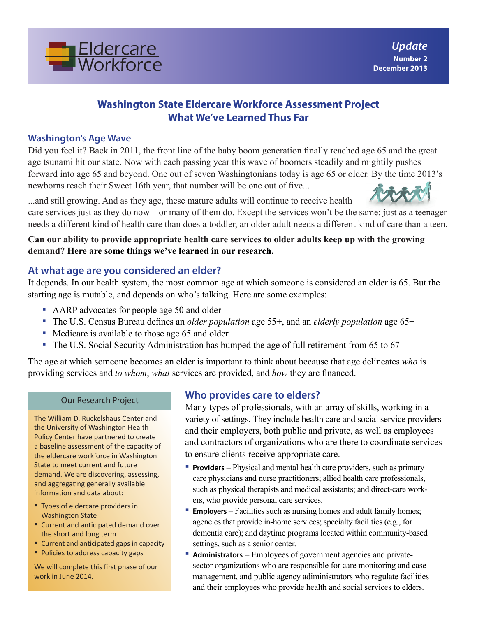

## **Washington State Eldercare Workforce Assessment Project What We've Learned Thus Far**

#### **Washington's Age Wave**

Did you feel it? Back in 2011, the front line of the baby boom generation finally reached age 65 and the great age tsunami hit our state. Now with each passing year this wave of boomers steadily and mightily pushes forward into age 65 and beyond. One out of seven Washingtonians today is age 65 or older. By the time 2013's newborns reach their Sweet 16th year, that number will be one out of five...

...and still growing. And as they age, these mature adults will continue to receive health

care services just as they do now – or many of them do. Except the services won't be the same: just as a teenager needs a different kind of health care than does a toddler, an older adult needs a different kind of care than a teen.

**Can our ability to provide appropriate health care services to older adults keep up with the growing demand? Here are some things we've learned in our research.**

## **At what age are you considered an elder?**

It depends. In our health system, the most common age at which someone is considered an elder is 65. But the starting age is mutable, and depends on who's talking. Here are some examples:

- AARP advocates for people age 50 and older
- The U.S. Census Bureau defines an *older population* age 55+, and an *elderly population* age 65+
- Medicare is available to those age 65 and older
- The U.S. Social Security Administration has bumped the age of full retirement from 65 to 67

The age at which someone becomes an elder is important to think about because that age delineates *who* is providing services and *to whom*, *what* services are provided, and *how* they are financed.

#### Our Research Project

The William D. Ruckelshaus Center and the University of Washington Health Policy Center have partnered to create a baseline assessment of the capacity of the eldercare workforce in Washington State to meet current and future demand. We are discovering, assessing, and aggregating generally available information and data about:

- Types of eldercare providers in Washington State
- Current and anticipated demand over the short and long term
- **E** Current and anticipated gaps in capacity
- **Policies to address capacity gaps**

We will complete this first phase of our work in June 2014.

### **Who provides care to elders?**

Many types of professionals, with an array of skills, working in a variety of settings. They include health care and social service providers and their employers, both public and private, as well as employees and contractors of organizations who are there to coordinate services to ensure clients receive appropriate care.

- **Providers** Physical and mental health care providers, such as primary care physicians and nurse practitioners; allied health care professionals, such as physical therapists and medical assistants; and direct-care workers, who provide personal care services.
- **Employers** Facilities such as nursing homes and adult family homes; agencies that provide in-home services; specialty facilities (e.g., for dementia care); and daytime programs located within community-based settings, such as a senior center.
- **Administrators** Employees of government agencies and privatesector organizations who are responsible for care monitoring and case management, and public agency adiministrators who regulate facilities and their employees who provide health and social services to elders.